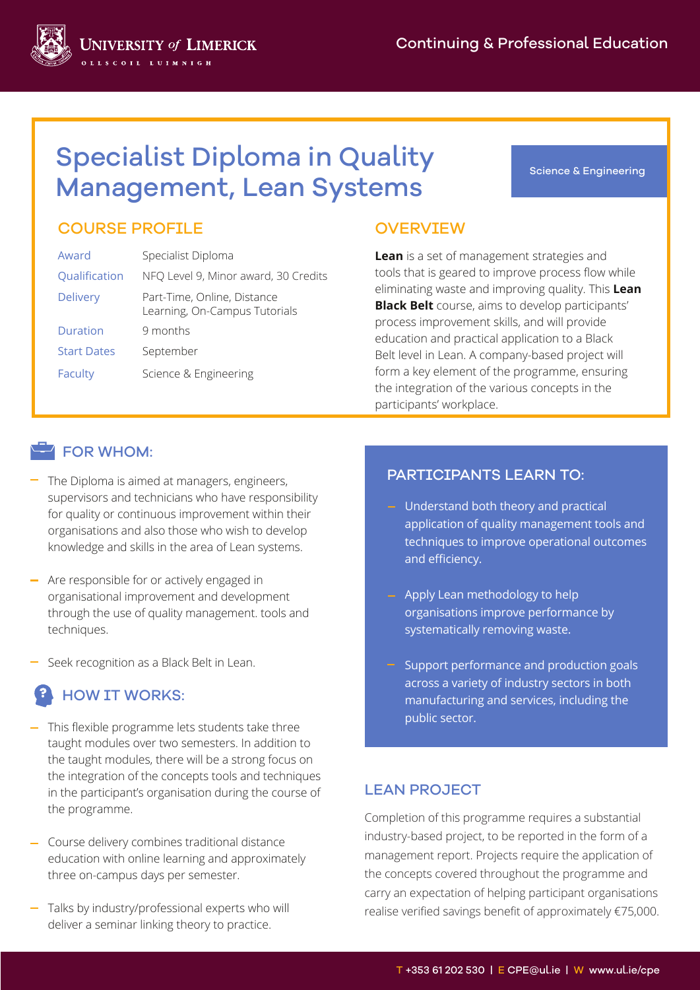Science & Engineering



#### COURSE PROFILE OVERVIEW

| Award              | Specialist Diploma                                           |
|--------------------|--------------------------------------------------------------|
| Qualification      | NFQ Level 9, Minor award, 30 Credits                         |
| <b>Delivery</b>    | Part-Time, Online, Distance<br>Learning, On-Campus Tutorials |
| Duration           | 9 months                                                     |
| <b>Start Dates</b> | September                                                    |
| Faculty            | Science & Engineering                                        |

**JNIVERSITY of LIMERICK** 

**Lean** is a set of management strategies and tools that is geared to improve process flow while eliminating waste and improving quality. This **Lean Black Belt** course, aims to develop participants' process improvement skills, and will provide education and practical application to a Black Belt level in Lean. A company-based project will form a key element of the programme, ensuring the integration of the various concepts in the participants' workplace.

#### **FOR WHOM:**

- $-$  The Diploma is aimed at managers, engineers, supervisors and technicians who have responsibility for quality or continuous improvement within their organisations and also those who wish to develop knowledge and skills in the area of Lean systems.
- Are responsible for or actively engaged in organisational improvement and development through the use of quality management. tools and techniques.
- Seek recognition as a Black Belt in Lean.

# HOW IT WORKS:

- This flexible programme lets students take three taught modules over two semesters. In addition to the taught modules, there will be a strong focus on the integration of the concepts tools and techniques in the participant's organisation during the course of the programme.
- Course delivery combines traditional distance education with online learning and approximately three on-campus days per semester.
- Talks by industry/professional experts who will deliver a seminar linking theory to practice.

#### PARTICIPANTS LEARN TO:

- Understand both theory and practical application of quality management tools and techniques to improve operational outcomes and efficiency.
- Apply Lean methodology to help organisations improve performance by systematically removing waste.
- Support performance and production goals across a variety of industry sectors in both manufacturing and services, including the public sector.

#### LEAN PROJECT

Completion of this programme requires a substantial industry-based project, to be reported in the form of a management report. Projects require the application of the concepts covered throughout the programme and carry an expectation of helping participant organisations realise verified savings benefit of approximately €75,000.